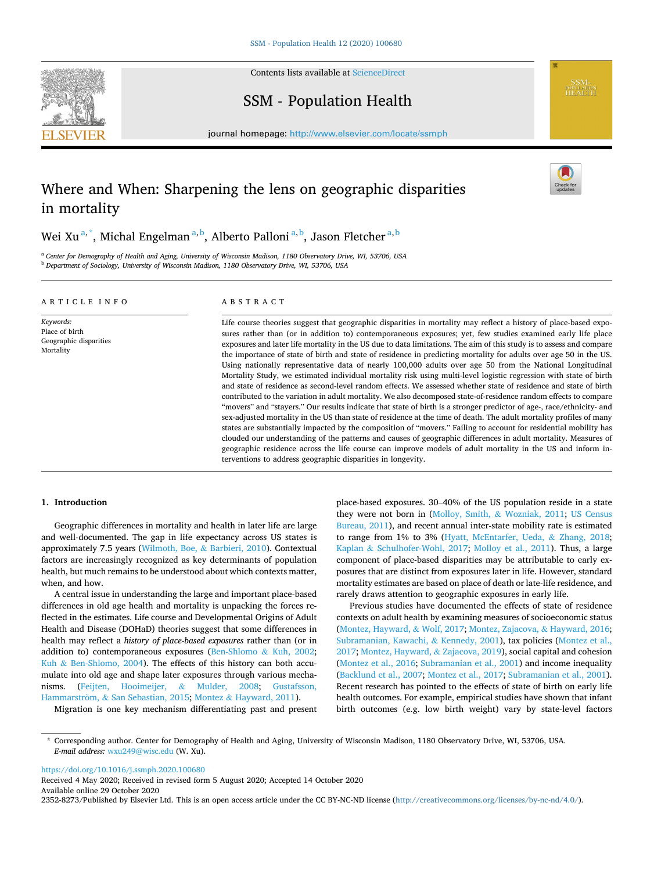

Contents lists available at [ScienceDirect](www.sciencedirect.com/science/journal/23528273)

# SSM - Population Health

journal homepage: [http://www.elsevier.com/locate/ssmph](https://http://www.elsevier.com/locate/ssmph) 

# Where and When: Sharpening the lens on geographic disparities in mortality

Wei Xu $^{\mathrm{a},\mathrm{*}},$  Michal Engelman $^{\mathrm{a},\mathrm{b}},$  Alberto Palloni $^{\mathrm{a},\mathrm{b}},$  Jason Fletcher $^{\mathrm{a},\mathrm{b}}$ 

<sup>a</sup> *Center for Demography of Health and Aging, University of Wisconsin Madison, 1180 Observatory Drive, WI, 53706, USA* <sup>b</sup> *Department of Sociology, University of Wisconsin Madison, 1180 Observatory Drive, WI, 53706, USA* 

|  |  |  |  |  |  |  |  |  | ARTICLE INFO |  |  |  |
|--|--|--|--|--|--|--|--|--|--------------|--|--|--|
|--|--|--|--|--|--|--|--|--|--------------|--|--|--|

*Keywords:*  Place of birth Geographic disparities Mortality

# ABSTRACT

Life course theories suggest that geographic disparities in mortality may reflect a history of place-based exposures rather than (or in addition to) contemporaneous exposures; yet, few studies examined early life place exposures and later life mortality in the US due to data limitations. The aim of this study is to assess and compare the importance of state of birth and state of residence in predicting mortality for adults over age 50 in the US. Using nationally representative data of nearly 100,000 adults over age 50 from the National Longitudinal Mortality Study, we estimated individual mortality risk using multi-level logistic regression with state of birth and state of residence as second-level random effects. We assessed whether state of residence and state of birth contributed to the variation in adult mortality. We also decomposed state-of-residence random effects to compare "movers" and "stayers." Our results indicate that state of birth is a stronger predictor of age-, race/ethnicity- and sex-adjusted mortality in the US than state of residence at the time of death. The adult mortality profiles of many states are substantially impacted by the composition of "movers." Failing to account for residential mobility has clouded our understanding of the patterns and causes of geographic differences in adult mortality. Measures of geographic residence across the life course can improve models of adult mortality in the US and inform interventions to address geographic disparities in longevity.

# **1. Introduction**

Geographic differences in mortality and health in later life are large and well-documented. The gap in life expectancy across US states is approximately 7.5 years [\(Wilmoth, Boe,](#page-4-0) & Barbieri, 2010). Contextual factors are increasingly recognized as key determinants of population health, but much remains to be understood about which contexts matter, when, and how.

A central issue in understanding the large and important place-based differences in old age health and mortality is unpacking the forces reflected in the estimates. Life course and Developmental Origins of Adult Health and Disease (DOHaD) theories suggest that some differences in health may reflect a *history of place-based exposures* rather than (or in addition to) contemporaneous exposures [\(Ben-Shlomo](#page-4-0) & Kuh, 2002; Kuh & [Ben-Shlomo, 2004](#page-4-0)). The effects of this history can both accumulate into old age and shape later exposures through various mechanisms. ([Feijten, Hooimeijer,](#page-4-0) & Mulder, 2008; [Gustafsson,](#page-4-0)  Hammarström, & [San Sebastian, 2015;](#page-4-0) Montez & [Hayward, 2011](#page-4-0)).

Migration is one key mechanism differentiating past and present

place-based exposures. 30–40% of the US population reside in a state they were not born in [\(Molloy, Smith,](#page-4-0) & Wozniak, 2011; [US Census](#page-4-0)  [Bureau, 2011](#page-4-0)), and recent annual inter-state mobility rate is estimated to range from 1% to 3% [\(Hyatt, McEntarfer, Ueda,](#page-4-0) & Zhang, 2018; Kaplan & [Schulhofer-Wohl, 2017](#page-4-0); [Molloy et al., 2011\)](#page-4-0). Thus, a large component of place-based disparities may be attributable to early exposures that are distinct from exposures later in life. However, standard mortality estimates are based on place of death or late-life residence, and rarely draws attention to geographic exposures in early life.

**SSM-**<br>POPULATION<br>HEALTH

Previous studies have documented the effects of state of residence contexts on adult health by examining measures of socioeconomic status ([Montez, Hayward,](#page-4-0) & Wolf, 2017; [Montez, Zajacova,](#page-4-0) & Hayward, 2016; [Subramanian, Kawachi,](#page-4-0) & Kennedy, 2001), tax policies ([Montez et al.,](#page-4-0)  [2017; Montez, Hayward,](#page-4-0) & Zajacova, 2019), social capital and cohesion ([Montez et al., 2016; Subramanian et al., 2001\)](#page-4-0) and income inequality ([Backlund et al., 2007](#page-4-0); [Montez et al., 2017](#page-4-0); [Subramanian et al., 2001](#page-4-0)). Recent research has pointed to the effects of state of birth on early life health outcomes. For example, empirical studies have shown that infant birth outcomes (e.g. low birth weight) vary by state-level factors

<https://doi.org/10.1016/j.ssmph.2020.100680>

Available online 29 October 2020 2352-8273/Published by Elsevier Ltd. This is an open access article under the CC BY-NC-ND license [\(http://creativecommons.org/licenses/by-nc-nd/4.0/\)](http://creativecommons.org/licenses/by-nc-nd/4.0/). Received 4 May 2020; Received in revised form 5 August 2020; Accepted 14 October 2020

<sup>\*</sup> Corresponding author. Center for Demography of Health and Aging, University of Wisconsin Madison, 1180 Observatory Drive, WI, 53706, USA. *E-mail address:* [wxu249@wisc.edu](mailto:wxu249@wisc.edu) (W. Xu).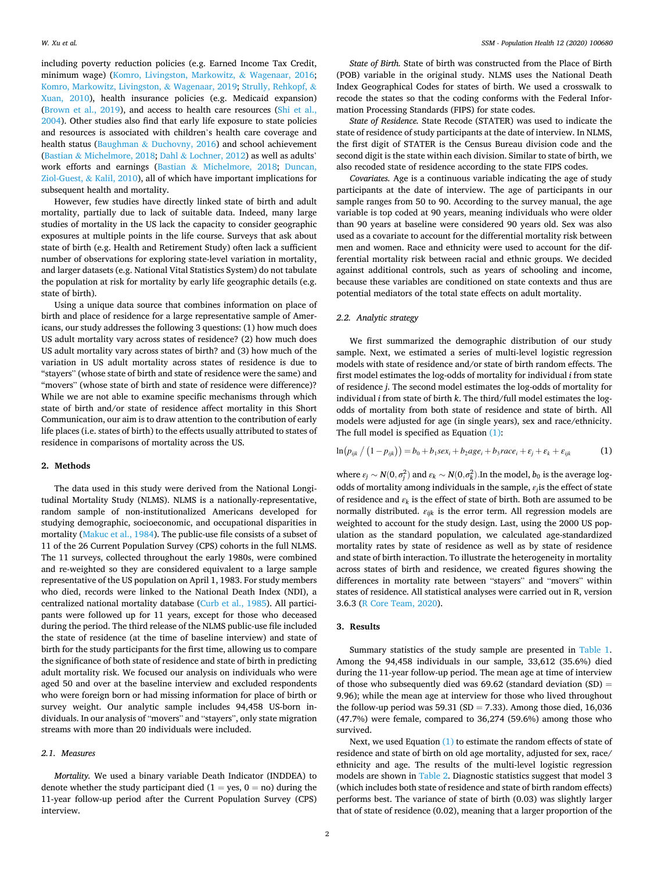including poverty reduction policies (e.g. Earned Income Tax Credit, minimum wage) [\(Komro, Livingston, Markowitz,](#page-4-0) & Wagenaar, 2016; [Komro, Markowitz, Livingston,](#page-4-0) & Wagenaar, 2019; [Strully, Rehkopf,](#page-4-0) & [Xuan, 2010](#page-4-0)), health insurance policies (e.g. Medicaid expansion) ([Brown et al., 2019](#page-4-0)), and access to health care resources [\(Shi et al.,](#page-4-0)  [2004\)](#page-4-0). Other studies also find that early life exposure to state policies and resources is associated with children's health care coverage and health status (Baughman & [Duchovny, 2016\)](#page-4-0) and school achievement (Bastian & [Michelmore, 2018](#page-4-0); Dahl & [Lochner, 2012\)](#page-4-0) as well as adults' work efforts and earnings (Bastian & [Michelmore, 2018](#page-4-0); [Duncan,](#page-4-0)  [Ziol-Guest,](#page-4-0) & Kalil, 2010), all of which have important implications for subsequent health and mortality.

However, few studies have directly linked state of birth and adult mortality, partially due to lack of suitable data. Indeed, many large studies of mortality in the US lack the capacity to consider geographic exposures at multiple points in the life course. Surveys that ask about state of birth (e.g. Health and Retirement Study) often lack a sufficient number of observations for exploring state-level variation in mortality, and larger datasets (e.g. National Vital Statistics System) do not tabulate the population at risk for mortality by early life geographic details (e.g. state of birth).

Using a unique data source that combines information on place of birth and place of residence for a large representative sample of Americans, our study addresses the following 3 questions: (1) how much does US adult mortality vary across states of residence? (2) how much does US adult mortality vary across states of birth? and (3) how much of the variation in US adult mortality across states of residence is due to "stayers" (whose state of birth and state of residence were the same) and "movers" (whose state of birth and state of residence were difference)? While we are not able to examine specific mechanisms through which state of birth and/or state of residence affect mortality in this Short Communication, our aim is to draw attention to the contribution of early life places (i.e. states of birth) to the effects usually attributed to states of residence in comparisons of mortality across the US.

#### **2. Methods**

The data used in this study were derived from the National Longitudinal Mortality Study (NLMS). NLMS is a nationally-representative, random sample of non-institutionalized Americans developed for studying demographic, socioeconomic, and occupational disparities in mortality [\(Makuc et al., 1984](#page-4-0)). The public-use file consists of a subset of 11 of the 26 Current Population Survey (CPS) cohorts in the full NLMS. The 11 surveys, collected throughout the early 1980s, were combined and re-weighted so they are considered equivalent to a large sample representative of the US population on April 1, 1983. For study members who died, records were linked to the National Death Index (NDI), a centralized national mortality database [\(Curb et al., 1985\)](#page-4-0). All participants were followed up for 11 years, except for those who deceased during the period. The third release of the NLMS public-use file included the state of residence (at the time of baseline interview) and state of birth for the study participants for the first time, allowing us to compare the significance of both state of residence and state of birth in predicting adult mortality risk. We focused our analysis on individuals who were aged 50 and over at the baseline interview and excluded respondents who were foreign born or had missing information for place of birth or survey weight. Our analytic sample includes 94,458 US-born individuals. In our analysis of "movers" and "stayers", only state migration streams with more than 20 individuals were included.

# *2.1. Measures*

*Mortality.* We used a binary variable Death Indicator (INDDEA) to denote whether the study participant died  $(1 = yes, 0 = no)$  during the 11-year follow-up period after the Current Population Survey (CPS) interview.

*State of Birth.* State of birth was constructed from the Place of Birth (POB) variable in the original study. NLMS uses the National Death Index Geographical Codes for states of birth. We used a crosswalk to recode the states so that the coding conforms with the Federal Information Processing Standards (FIPS) for state codes.

*State of Residence.* State Recode (STATER) was used to indicate the state of residence of study participants at the date of interview. In NLMS, the first digit of STATER is the Census Bureau division code and the second digit is the state within each division. Similar to state of birth, we also recoded state of residence according to the state FIPS codes.

*Covariates.* Age is a continuous variable indicating the age of study participants at the date of interview. The age of participants in our sample ranges from 50 to 90. According to the survey manual, the age variable is top coded at 90 years, meaning individuals who were older than 90 years at baseline were considered 90 years old. Sex was also used as a covariate to account for the differential mortality risk between men and women. Race and ethnicity were used to account for the differential mortality risk between racial and ethnic groups. We decided against additional controls, such as years of schooling and income, because these variables are conditioned on state contexts and thus are potential mediators of the total state effects on adult mortality.

#### *2.2. Analytic strategy*

We first summarized the demographic distribution of our study sample. Next, we estimated a series of multi-level logistic regression models with state of residence and/or state of birth random effects. The first model estimates the log-odds of mortality for individual *i* from state of residence *j*. The second model estimates the log-odds of mortality for individual *i* from state of birth *k*. The third/full model estimates the logodds of mortality from both state of residence and state of birth. All models were adjusted for age (in single years), sex and race/ethnicity. The full model is specified as Equation (1):

$$
\ln(p_{ijk} / (1 - p_{ijk})) = b_0 + b_1 \text{sex}_i + b_2 \text{age}_i + b_3 \text{race}_i + \varepsilon_j + \varepsilon_k + \varepsilon_{ijk}
$$
 (1)

where  $\varepsilon_j \sim N(0, \sigma_j^2)$  and  $\varepsilon_k \sim N(0, \sigma_k^2)$ . In the model,  $b_0$  is the average logodds of mortality among individuals in the sample, *εj*is the effect of state of residence and  $\varepsilon_k$  is the effect of state of birth. Both are assumed to be normally distributed. *εijk* is the error term. All regression models are weighted to account for the study design. Last, using the 2000 US population as the standard population, we calculated age-standardized mortality rates by state of residence as well as by state of residence and state of birth interaction. To illustrate the heterogeneity in mortality across states of birth and residence, we created figures showing the differences in mortality rate between "stayers" and "movers" within states of residence. All statistical analyses were carried out in R, version 3.6.3 ([R Core Team, 2020](#page-4-0)).

### **3. Results**

Summary statistics of the study sample are presented in [Table 1](#page-2-0). Among the 94,458 individuals in our sample, 33,612 (35.6%) died during the 11-year follow-up period. The mean age at time of interview of those who subsequently died was 69.62 (standard deviation (SD) = 9.96); while the mean age at interview for those who lived throughout the follow-up period was 59.31 (SD = 7.33). Among those died, 16,036 (47.7%) were female, compared to 36,274 (59.6%) among those who survived.

Next, we used Equation (1) to estimate the random effects of state of residence and state of birth on old age mortality, adjusted for sex, race/ ethnicity and age. The results of the multi-level logistic regression models are shown in [Table 2](#page-2-0). Diagnostic statistics suggest that model 3 (which includes both state of residence and state of birth random effects) performs best. The variance of state of birth (0.03) was slightly larger that of state of residence (0.02), meaning that a larger proportion of the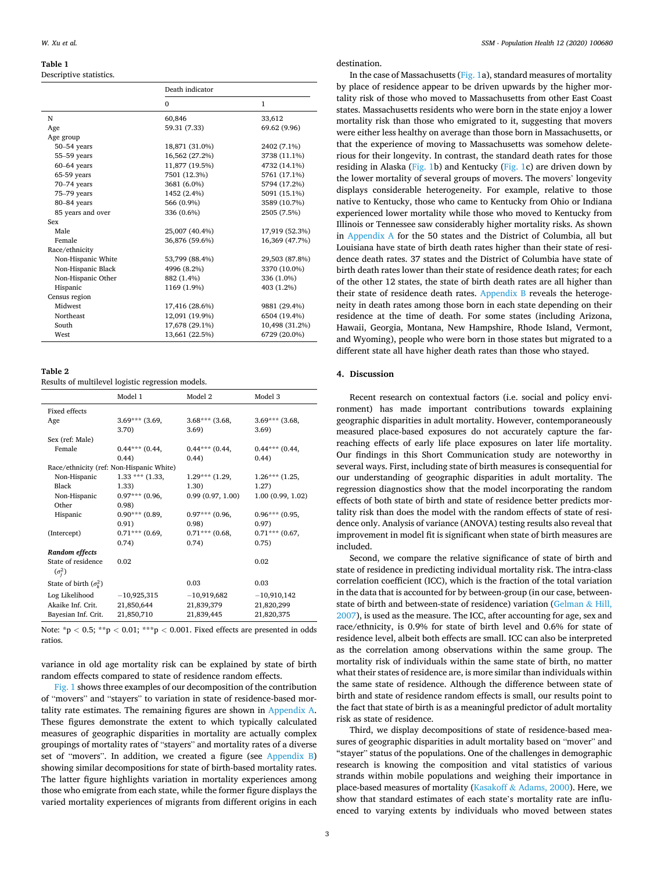# <span id="page-2-0"></span>**Table 1**

# Descriptive statistics.

|                    | Death indicator |                |  |
|--------------------|-----------------|----------------|--|
|                    | $\Omega$        | $\mathbf{1}$   |  |
| N                  | 60,846          | 33,612         |  |
| Age                | 59.31 (7.33)    | 69.62 (9.96)   |  |
| Age group          |                 |                |  |
| $50-54$ years      | 18,871 (31.0%)  | 2402 (7.1%)    |  |
| 55-59 years        | 16,562 (27.2%)  | 3738 (11.1%)   |  |
| $60-64$ years      | 11,877 (19.5%)  | 4732 (14.1%)   |  |
| 65-59 years        | 7501 (12.3%)    | 5761 (17.1%)   |  |
| 70-74 years        | 3681 (6.0%)     | 5794 (17.2%)   |  |
| 75-79 years        | 1452 (2.4%)     | 5091 (15.1%)   |  |
| 80-84 years        | 566 (0.9%)      | 3589 (10.7%)   |  |
| 85 years and over  | 336 (0.6%)      | 2505 (7.5%)    |  |
| Sex                |                 |                |  |
| Male               | 25,007 (40.4%)  | 17,919 (52.3%) |  |
| Female             | 36,876 (59.6%)  | 16,369 (47.7%) |  |
| Race/ethnicity     |                 |                |  |
| Non-Hispanic White | 53,799 (88.4%)  | 29,503 (87.8%) |  |
| Non-Hispanic Black | 4996 (8.2%)     | 3370 (10.0%)   |  |
| Non-Hispanic Other | 882 (1.4%)      | 336 (1.0%)     |  |
| Hispanic           | 1169 (1.9%)     | 403 (1.2%)     |  |
| Census region      |                 |                |  |
| Midwest            | 17,416 (28.6%)  | 9881 (29.4%)   |  |
| Northeast          | 12,091 (19.9%)  | 6504 (19.4%)   |  |
| South              | 17,678 (29.1%)  | 10,498 (31.2%) |  |
| West               | 13,661 (22.5%)  | 6729 (20.0%)   |  |

# **Table 2**

Results of multilevel logistic regression models.

|                                   | Model 1                                  | Model 2           | Model 3          |
|-----------------------------------|------------------------------------------|-------------------|------------------|
| Fixed effects                     |                                          |                   |                  |
| Age                               | $3.69***$ (3.69,                         | $3.68***$ (3.68)  | $3.69***$ (3.68) |
|                                   | 3.70)                                    | 3.69)             | 3.69             |
| Sex (ref: Male)                   |                                          |                   |                  |
| Female                            | $0.44***$ (0.44,                         | $0.44***$ (0.44,  | $0.44***$ (0.44, |
|                                   | 0.44)                                    | (0.44)            | (0.44)           |
|                                   | Race/ethnicity (ref: Non-Hispanic White) |                   |                  |
| Non-Hispanic                      | $1.33$ *** $(1.33,$                      | $1.29***$ (1.29,  | $1.26***$ (1.25, |
| Black                             | 1.33)                                    | 1.30)             | 1.27)            |
| Non-Hispanic                      | $0.97***$ (0.96,                         | 0.99(0.97, 1.00)  | 1.00(0.99, 1.02) |
| Other                             | 0.98                                     |                   |                  |
| Hispanic                          | $0.90***$ (0.89,                         | $0.97***$ (0.96.) | $0.96***$ (0.95, |
|                                   | 0.91)                                    | (0.98)            | 0.97)            |
| (Intercept)                       | $0.71***$ (0.69,                         | $0.71***$ (0.68.) | $0.71***$ (0.67, |
|                                   | 0.74)                                    | 0.74)             | 0.75)            |
| Random effects                    |                                          |                   |                  |
| State of residence                | 0.02                                     |                   | 0.02             |
| $(\sigma_i^2)$                    |                                          |                   |                  |
| State of birth $(\sigma_{\nu}^2)$ |                                          | 0.03              | 0.03             |
| Log Likelihood                    | $-10,925,315$                            | $-10,919,682$     | $-10,910,142$    |
| Akaike Inf. Crit.                 | 21,850,644                               | 21,839,379        | 21,820,299       |
| Bayesian Inf. Crit.               | 21,850,710                               | 21,839,445        | 21,820,375       |

Note: \*p *<* 0.5; \*\*p *<* 0.01; \*\*\*p *<* 0.001. Fixed effects are presented in odds ratios.

variance in old age mortality risk can be explained by state of birth random effects compared to state of residence random effects.

[Fig. 1](#page-3-0) shows three examples of our decomposition of the contribution of "movers" and "stayers" to variation in state of residence-based mortality rate estimates. The remaining figures are shown in Appendix A. These figures demonstrate the extent to which typically calculated measures of geographic disparities in mortality are actually complex groupings of mortality rates of "stayers" and mortality rates of a diverse set of "movers". In addition, we created a figure (see [Appendix B\)](#page-4-0) showing similar decompositions for state of birth-based mortality rates. The latter figure highlights variation in mortality experiences among those who emigrate from each state, while the former figure displays the varied mortality experiences of migrants from different origins in each

# destination.

In the case of Massachusetts ([Fig. 1a](#page-3-0)), standard measures of mortality by place of residence appear to be driven upwards by the higher mortality risk of those who moved to Massachusetts from other East Coast states. Massachusetts residents who were born in the state enjoy a lower mortality risk than those who emigrated to it, suggesting that movers were either less healthy on average than those born in Massachusetts, or that the experience of moving to Massachusetts was somehow deleterious for their longevity. In contrast, the standard death rates for those residing in Alaska [\(Fig. 1](#page-3-0)b) and Kentucky [\(Fig. 1](#page-3-0)c) are driven down by the lower mortality of several groups of movers. The movers' longevity displays considerable heterogeneity. For example, relative to those native to Kentucky, those who came to Kentucky from Ohio or Indiana experienced lower mortality while those who moved to Kentucky from Illinois or Tennessee saw considerably higher mortality risks. As shown in Appendix A for the 50 states and the District of Columbia, all but Louisiana have state of birth death rates higher than their state of residence death rates. 37 states and the District of Columbia have state of birth death rates lower than their state of residence death rates; for each of the other 12 states, the state of birth death rates are all higher than their state of residence death rates. [Appendix B](#page-4-0) reveals the heterogeneity in death rates among those born in each state depending on their residence at the time of death. For some states (including Arizona, Hawaii, Georgia, Montana, New Hampshire, Rhode Island, Vermont, and Wyoming), people who were born in those states but migrated to a different state all have higher death rates than those who stayed.

# **4. Discussion**

Recent research on contextual factors (i.e. social and policy environment) has made important contributions towards explaining geographic disparities in adult mortality. However, contemporaneously measured place-based exposures do not accurately capture the farreaching effects of early life place exposures on later life mortality. Our findings in this Short Communication study are noteworthy in several ways. First, including state of birth measures is consequential for our understanding of geographic disparities in adult mortality. The regression diagnostics show that the model incorporating the random effects of both state of birth and state of residence better predicts mortality risk than does the model with the random effects of state of residence only. Analysis of variance (ANOVA) testing results also reveal that improvement in model fit is significant when state of birth measures are included.

Second, we compare the relative significance of state of birth and state of residence in predicting individual mortality risk. The intra-class correlation coefficient (ICC), which is the fraction of the total variation in the data that is accounted for by between-group (in our case, betweenstate of birth and between-state of residence) variation ([Gelman](#page-4-0) & Hill, [2007\)](#page-4-0), is used as the measure. The ICC, after accounting for age, sex and race/ethnicity, is 0.9% for state of birth level and 0.6% for state of residence level, albeit both effects are small. ICC can also be interpreted as the correlation among observations within the same group. The mortality risk of individuals within the same state of birth, no matter what their states of residence are, is more similar than individuals within the same state of residence. Although the difference between state of birth and state of residence random effects is small, our results point to the fact that state of birth is as a meaningful predictor of adult mortality risk as state of residence.

Third, we display decompositions of state of residence-based measures of geographic disparities in adult mortality based on "mover" and "stayer" status of the populations. One of the challenges in demographic research is knowing the composition and vital statistics of various strands within mobile populations and weighing their importance in place-based measures of mortality (Kasakoff & [Adams, 2000\)](#page-4-0). Here, we show that standard estimates of each state's mortality rate are influenced to varying extents by individuals who moved between states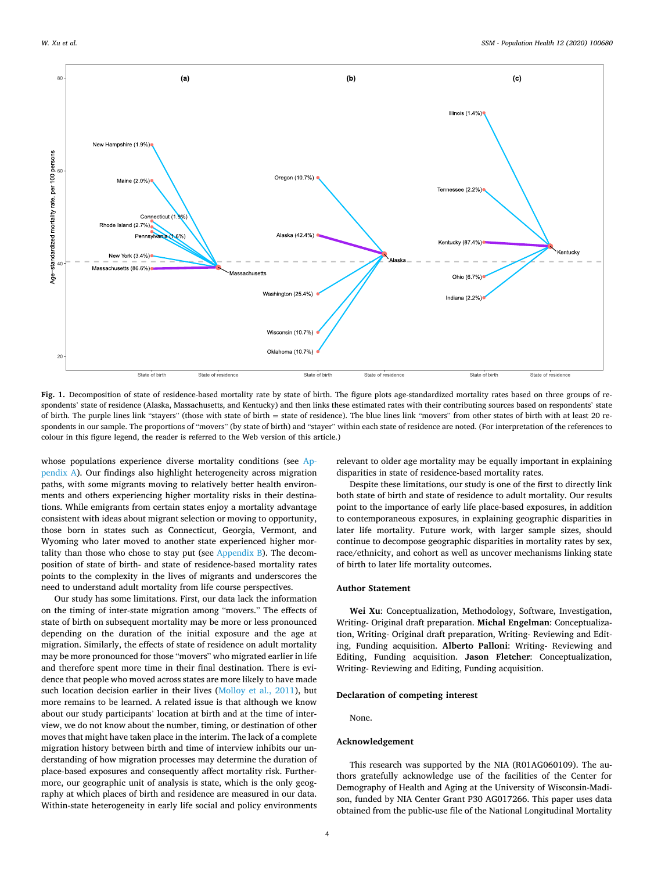<span id="page-3-0"></span>

**Fig. 1.** Decomposition of state of residence-based mortality rate by state of birth. The figure plots age-standardized mortality rates based on three groups of respondents' state of residence (Alaska, Massachusetts, and Kentucky) and then links these estimated rates with their contributing sources based on respondents' state of birth. The purple lines link "stayers" (those with state of birth = state of residence). The blue lines link "movers" from other states of birth with at least 20 respondents in our sample. The proportions of "movers" (by state of birth) and "stayer" within each state of residence are noted. (For interpretation of the references to colour in this figure legend, the reader is referred to the Web version of this article.)

whose populations experience diverse mortality conditions (see Appendix A). Our findings also highlight heterogeneity across migration paths, with some migrants moving to relatively better health environments and others experiencing higher mortality risks in their destinations. While emigrants from certain states enjoy a mortality advantage consistent with ideas about migrant selection or moving to opportunity, those born in states such as Connecticut, Georgia, Vermont, and Wyoming who later moved to another state experienced higher mortality than those who chose to stay put (see  $AppendixB$ ). The decomposition of state of birth- and state of residence-based mortality rates points to the complexity in the lives of migrants and underscores the need to understand adult mortality from life course perspectives.

Our study has some limitations. First, our data lack the information on the timing of inter-state migration among "movers." The effects of state of birth on subsequent mortality may be more or less pronounced depending on the duration of the initial exposure and the age at migration. Similarly, the effects of state of residence on adult mortality may be more pronounced for those "movers" who migrated earlier in life and therefore spent more time in their final destination. There is evidence that people who moved across states are more likely to have made such location decision earlier in their lives ([Molloy et al., 2011\)](#page-4-0), but more remains to be learned. A related issue is that although we know about our study participants' location at birth and at the time of interview, we do not know about the number, timing, or destination of other moves that might have taken place in the interim. The lack of a complete migration history between birth and time of interview inhibits our understanding of how migration processes may determine the duration of place-based exposures and consequently affect mortality risk. Furthermore, our geographic unit of analysis is state, which is the only geography at which places of birth and residence are measured in our data. Within-state heterogeneity in early life social and policy environments relevant to older age mortality may be equally important in explaining disparities in state of residence-based mortality rates.

Despite these limitations, our study is one of the first to directly link both state of birth and state of residence to adult mortality. Our results point to the importance of early life place-based exposures, in addition to contemporaneous exposures, in explaining geographic disparities in later life mortality. Future work, with larger sample sizes, should continue to decompose geographic disparities in mortality rates by sex, race/ethnicity, and cohort as well as uncover mechanisms linking state of birth to later life mortality outcomes.

#### **Author Statement**

**Wei Xu**: Conceptualization, Methodology, Software, Investigation, Writing- Original draft preparation. **Michal Engelman**: Conceptualization, Writing- Original draft preparation, Writing- Reviewing and Editing, Funding acquisition. **Alberto Palloni**: Writing- Reviewing and Editing, Funding acquisition. **Jason Fletcher**: Conceptualization, Writing- Reviewing and Editing, Funding acquisition.

#### **Declaration of competing interest**

None.

#### **Acknowledgement**

This research was supported by the NIA (R01AG060109). The authors gratefully acknowledge use of the facilities of the Center for Demography of Health and Aging at the University of Wisconsin-Madison, funded by NIA Center Grant P30 AG017266. This paper uses data obtained from the public-use file of the National Longitudinal Mortality